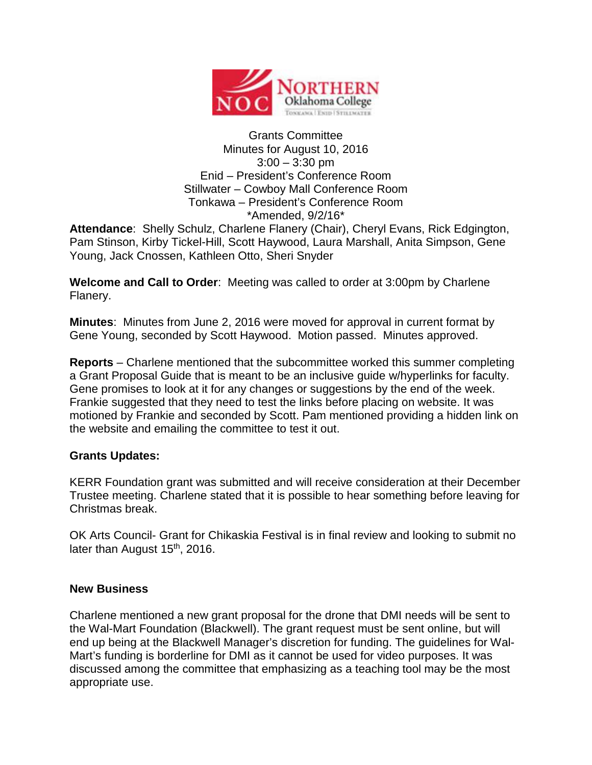

## Grants Committee Minutes for August 10, 2016  $3:00 - 3:30$  pm Enid – President's Conference Room Stillwater – Cowboy Mall Conference Room Tonkawa – President's Conference Room \*Amended, 9/2/16\*

**Attendance**: Shelly Schulz, Charlene Flanery (Chair), Cheryl Evans, Rick Edgington, Pam Stinson, Kirby Tickel-Hill, Scott Haywood, Laura Marshall, Anita Simpson, Gene Young, Jack Cnossen, Kathleen Otto, Sheri Snyder

**Welcome and Call to Order**: Meeting was called to order at 3:00pm by Charlene Flanery.

**Minutes**: Minutes from June 2, 2016 were moved for approval in current format by Gene Young, seconded by Scott Haywood. Motion passed. Minutes approved.

**Reports** – Charlene mentioned that the subcommittee worked this summer completing a Grant Proposal Guide that is meant to be an inclusive guide w/hyperlinks for faculty. Gene promises to look at it for any changes or suggestions by the end of the week. Frankie suggested that they need to test the links before placing on website. It was motioned by Frankie and seconded by Scott. Pam mentioned providing a hidden link on the website and emailing the committee to test it out.

## **Grants Updates:**

KERR Foundation grant was submitted and will receive consideration at their December Trustee meeting. Charlene stated that it is possible to hear something before leaving for Christmas break.

OK Arts Council- Grant for Chikaskia Festival is in final review and looking to submit no later than August 15<sup>th</sup>, 2016.

## **New Business**

Charlene mentioned a new grant proposal for the drone that DMI needs will be sent to the Wal-Mart Foundation (Blackwell). The grant request must be sent online, but will end up being at the Blackwell Manager's discretion for funding. The guidelines for Wal-Mart's funding is borderline for DMI as it cannot be used for video purposes. It was discussed among the committee that emphasizing as a teaching tool may be the most appropriate use.